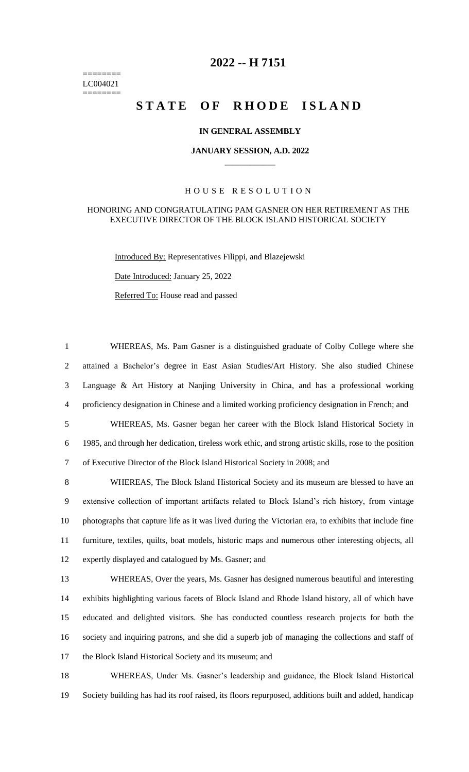======== LC004021 ========

# **-- H 7151**

# **STATE OF RHODE ISLAND**

### **IN GENERAL ASSEMBLY**

#### **JANUARY SESSION, A.D. 2022 \_\_\_\_\_\_\_\_\_\_\_\_**

## H O U S E R E S O L U T I O N

#### HONORING AND CONGRATULATING PAM GASNER ON HER RETIREMENT AS THE EXECUTIVE DIRECTOR OF THE BLOCK ISLAND HISTORICAL SOCIETY

Introduced By: Representatives Filippi, and Blazejewski

Date Introduced: January 25, 2022

Referred To: House read and passed

 WHEREAS, Ms. Pam Gasner is a distinguished graduate of Colby College where she attained a Bachelor's degree in East Asian Studies/Art History. She also studied Chinese Language & Art History at Nanjing University in China, and has a professional working proficiency designation in Chinese and a limited working proficiency designation in French; and WHEREAS, Ms. Gasner began her career with the Block Island Historical Society in 1985, and through her dedication, tireless work ethic, and strong artistic skills, rose to the position of Executive Director of the Block Island Historical Society in 2008; and

 WHEREAS, The Block Island Historical Society and its museum are blessed to have an extensive collection of important artifacts related to Block Island's rich history, from vintage photographs that capture life as it was lived during the Victorian era, to exhibits that include fine furniture, textiles, quilts, boat models, historic maps and numerous other interesting objects, all expertly displayed and catalogued by Ms. Gasner; and

 WHEREAS, Over the years, Ms. Gasner has designed numerous beautiful and interesting exhibits highlighting various facets of Block Island and Rhode Island history, all of which have educated and delighted visitors. She has conducted countless research projects for both the society and inquiring patrons, and she did a superb job of managing the collections and staff of the Block Island Historical Society and its museum; and

 WHEREAS, Under Ms. Gasner's leadership and guidance, the Block Island Historical Society building has had its roof raised, its floors repurposed, additions built and added, handicap